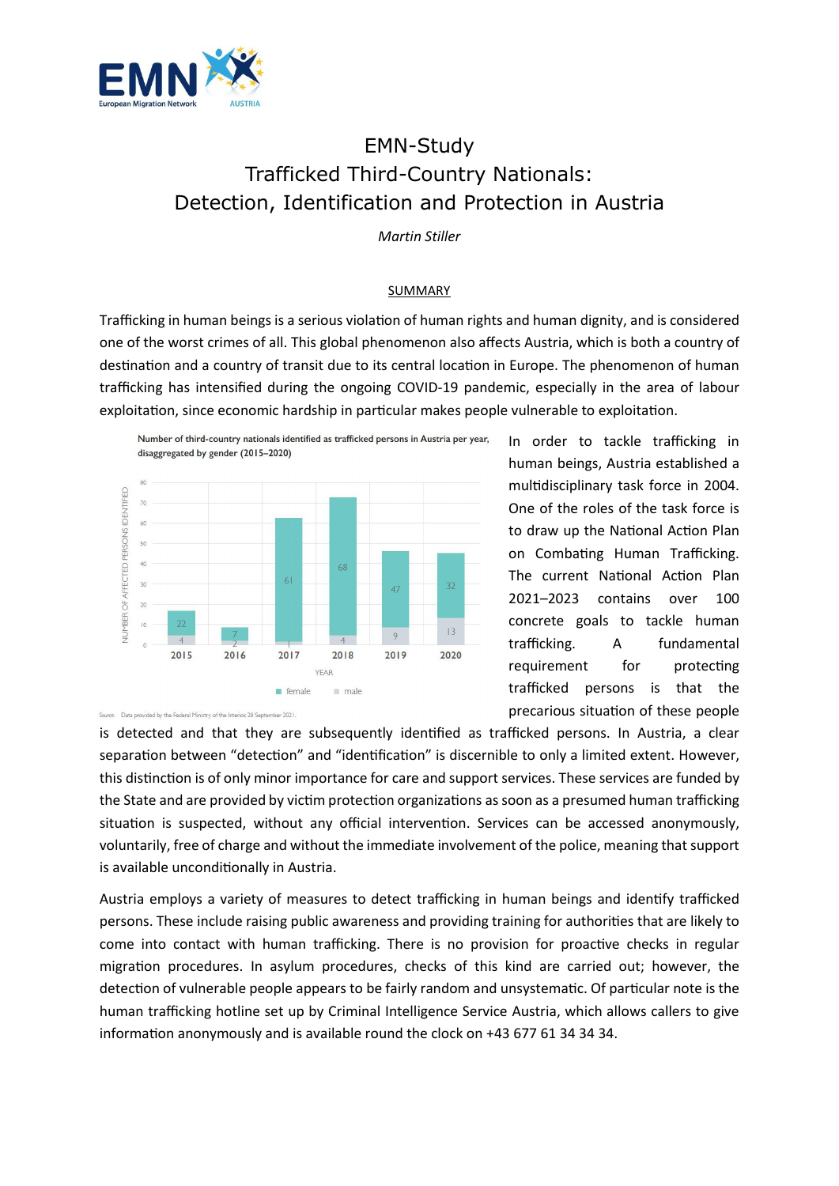

## EMN-Study Trafficked Third-Country Nationals: Detection, Identification and Protection in Austria

*Martin Stiller* 

## SUMMARY

Trafficking in human beings is a serious violation of human rights and human dignity, and is considered one of the worst crimes of all. This global phenomenon also affects Austria, which is both a country of destination and a country of transit due to its central location in Europe. The phenomenon of human trafficking has intensified during the ongoing COVID-19 pandemic, especially in the area of labour exploitation, since economic hardship in particular makes people vulnerable to exploitation.



In order to tackle trafficking in human beings, Austria established a multidisciplinary task force in 2004. One of the roles of the task force is to draw up the National Action Plan on Combating Human Trafficking. The current National Action Plan 2021–2023 contains over 100 concrete goals to tackle human trafficking. A fundamental requirement for protecting trafficked persons is that the precarious situation of these people

Source: Data provided by the Federal Ministry of the Interior, 28 Sep  $-2021$ 

is detected and that they are subsequently identified as trafficked persons. In Austria, a clear separation between "detection" and "identification" is discernible to only a limited extent. However, this distinction is of only minor importance for care and support services. These services are funded by the State and are provided by victim protection organizations as soon as a presumed human trafficking situation is suspected, without any official intervention. Services can be accessed anonymously, voluntarily, free of charge and without the immediate involvement of the police, meaning that support is available unconditionally in Austria.

Austria employs a variety of measures to detect trafficking in human beings and identify trafficked persons. These include raising public awareness and providing training for authorities that are likely to come into contact with human trafficking. There is no provision for proactive checks in regular migration procedures. In asylum procedures, checks of this kind are carried out; however, the detection of vulnerable people appears to be fairly random and unsystematic. Of particular note is the human trafficking hotline set up by Criminal Intelligence Service Austria, which allows callers to give information anonymously and is available round the clock on +43 677 61 34 34 34.